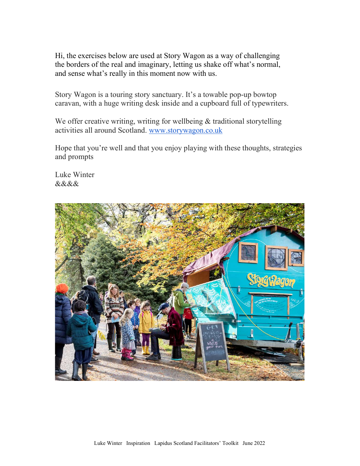Hi, the exercises below are used at Story Wagon as a way of challenging the borders of the real and imaginary, letting us shake off what's normal, and sense what's really in this moment now with us.

Story Wagon is a touring story sanctuary. It's a towable pop-up bowtop caravan, with a huge writing desk inside and a cupboard full of typewriters.

We offer creative writing, writing for wellbeing & traditional storytelling activities all around Scotland. www.storywagon.co.uk

Hope that you're well and that you enjoy playing with these thoughts, strategies and prompts

Luke Winter &&&&

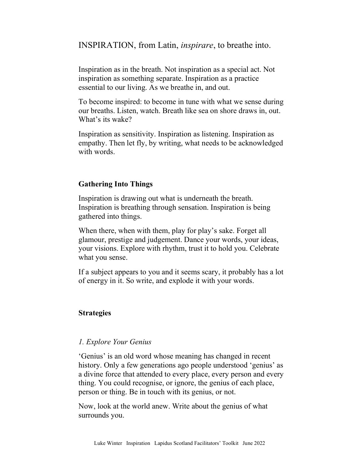INSPIRATION, from Latin, inspirare, to breathe into.

Inspiration as in the breath. Not inspiration as a special act. Not inspiration as something separate. Inspiration as a practice essential to our living. As we breathe in, and out.

To become inspired: to become in tune with what we sense during our breaths. Listen, watch. Breath like sea on shore draws in, out. What's its wake?

Inspiration as sensitivity. Inspiration as listening. Inspiration as empathy. Then let fly, by writing, what needs to be acknowledged with words.

# Gathering Into Things

Inspiration is drawing out what is underneath the breath. Inspiration is breathing through sensation. Inspiration is being gathered into things.

When there, when with them, play for play's sake. Forget all glamour, prestige and judgement. Dance your words, your ideas, your visions. Explore with rhythm, trust it to hold you. Celebrate what you sense.

If a subject appears to you and it seems scary, it probably has a lot of energy in it. So write, and explode it with your words.

## Strategies

## 1. Explore Your Genius

'Genius' is an old word whose meaning has changed in recent history. Only a few generations ago people understood 'genius' as a divine force that attended to every place, every person and every thing. You could recognise, or ignore, the genius of each place, person or thing. Be in touch with its genius, or not.

Now, look at the world anew. Write about the genius of what surrounds you.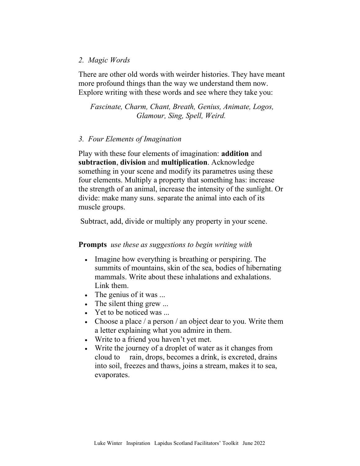### 2. Magic Words

There are other old words with weirder histories. They have meant more profound things than the way we understand them now. Explore writing with these words and see where they take you:

Fascinate, Charm, Chant, Breath, Genius, Animate, Logos, Glamour, Sing, Spell, Weird.

### 3. Four Elements of Imagination

Play with these four elements of imagination: addition and subtraction, division and multiplication. Acknowledge something in your scene and modify its parametres using these four elements. Multiply a property that something has: increase the strength of an animal, increase the intensity of the sunlight. Or divide: make many suns. separate the animal into each of its muscle groups.

Subtract, add, divide or multiply any property in your scene.

## Prompts use these as suggestions to begin writing with

- Imagine how everything is breathing or perspiring. The summits of mountains, skin of the sea, bodies of hibernating mammals. Write about these inhalations and exhalations. Link them.
- The genius of it was ...
- The silent thing grew ...
- Yet to be noticed was ...
- Choose a place / a person / an object dear to you. Write them a letter explaining what you admire in them.
- Write to a friend you haven't yet met.
- Write the journey of a droplet of water as it changes from cloud to rain, drops, becomes a drink, is excreted, drains into soil, freezes and thaws, joins a stream, makes it to sea, evaporates.